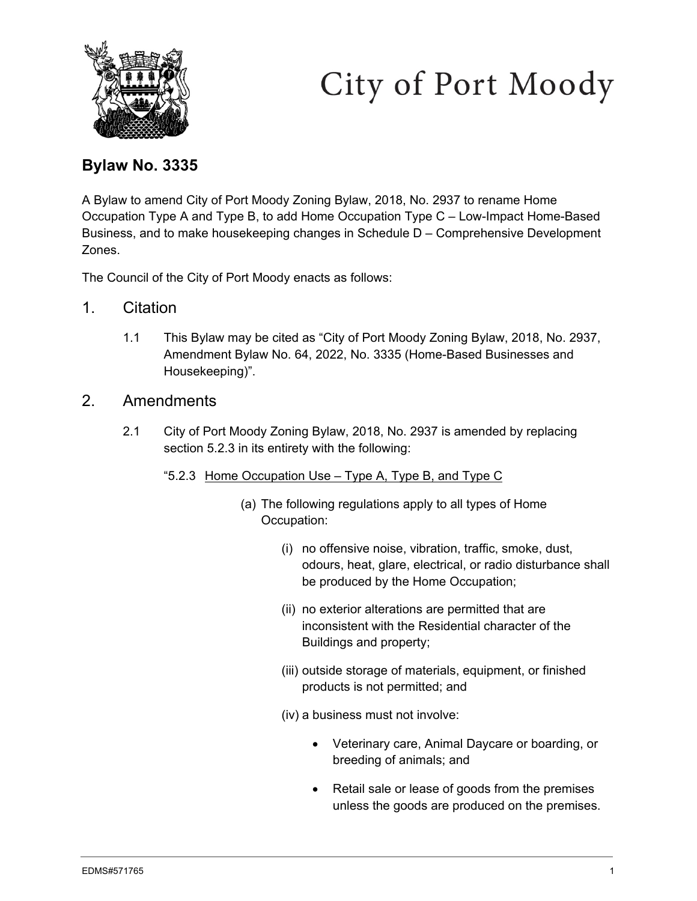

# City of Port Moody

## **Bylaw No. 3335**

A Bylaw to amend City of Port Moody Zoning Bylaw, 2018, No. 2937 to rename Home Occupation Type A and Type B, to add Home Occupation Type C – Low-Impact Home-Based Business, and to make housekeeping changes in Schedule D – Comprehensive Development Zones.

The Council of the City of Port Moody enacts as follows:

- 1. Citation
	- 1.1 This Bylaw may be cited as "City of Port Moody Zoning Bylaw, 2018, No. 2937, Amendment Bylaw No. 64, 2022, No. 3335 (Home-Based Businesses and Housekeeping)".
- 2. Amendments
	- 2.1 City of Port Moody Zoning Bylaw, 2018, No. 2937 is amended by replacing section 5.2.3 in its entirety with the following:
		- "5.2.3 Home Occupation Use Type A, Type B, and Type C
			- (a) The following regulations apply to all types of Home Occupation:
				- (i) no offensive noise, vibration, traffic, smoke, dust, odours, heat, glare, electrical, or radio disturbance shall be produced by the Home Occupation;
				- (ii) no exterior alterations are permitted that are inconsistent with the Residential character of the Buildings and property;
				- (iii) outside storage of materials, equipment, or finished products is not permitted; and
				- (iv) a business must not involve:
					- Veterinary care, Animal Daycare or boarding, or breeding of animals; and
					- Retail sale or lease of goods from the premises unless the goods are produced on the premises.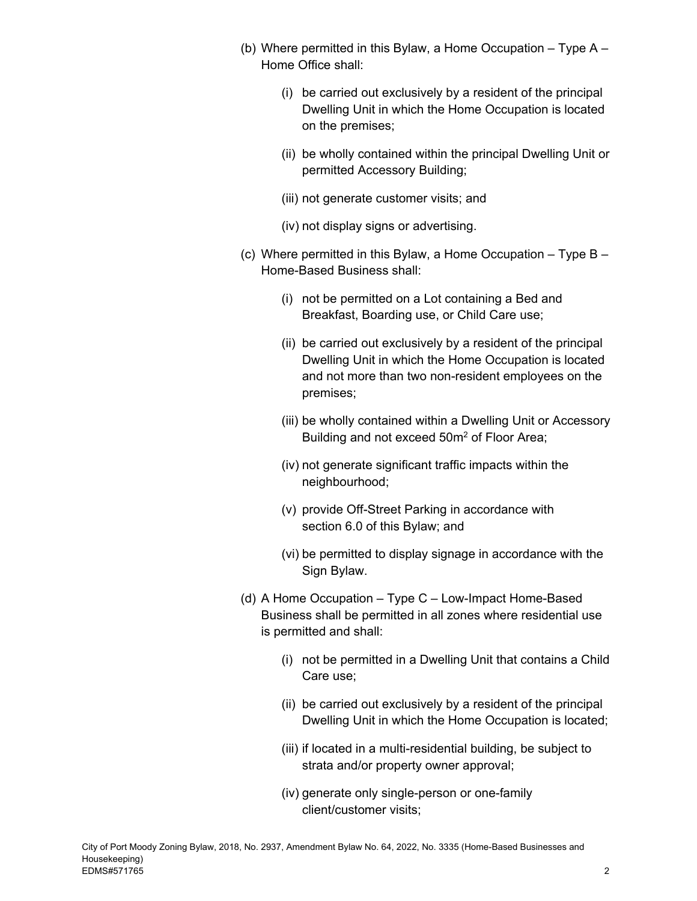- (b) Where permitted in this Bylaw, a Home Occupation Type A Home Office shall:
	- (i) be carried out exclusively by a resident of the principal Dwelling Unit in which the Home Occupation is located on the premises;
	- (ii) be wholly contained within the principal Dwelling Unit or permitted Accessory Building;
	- (iii) not generate customer visits; and
	- (iv) not display signs or advertising.
- (c) Where permitted in this Bylaw, a Home Occupation Type B Home-Based Business shall:
	- (i) not be permitted on a Lot containing a Bed and Breakfast, Boarding use, or Child Care use;
	- (ii) be carried out exclusively by a resident of the principal Dwelling Unit in which the Home Occupation is located and not more than two non-resident employees on the premises;
	- (iii) be wholly contained within a Dwelling Unit or Accessory Building and not exceed 50m2 of Floor Area;
	- (iv) not generate significant traffic impacts within the neighbourhood;
	- (v) provide Off-Street Parking in accordance with section 6.0 of this Bylaw; and
	- (vi) be permitted to display signage in accordance with the Sign Bylaw.
- (d) A Home Occupation Type C Low-Impact Home-Based Business shall be permitted in all zones where residential use is permitted and shall:
	- (i) not be permitted in a Dwelling Unit that contains a Child Care use;
	- (ii) be carried out exclusively by a resident of the principal Dwelling Unit in which the Home Occupation is located;
	- (iii) if located in a multi-residential building, be subject to strata and/or property owner approval;
	- (iv) generate only single-person or one-family client/customer visits;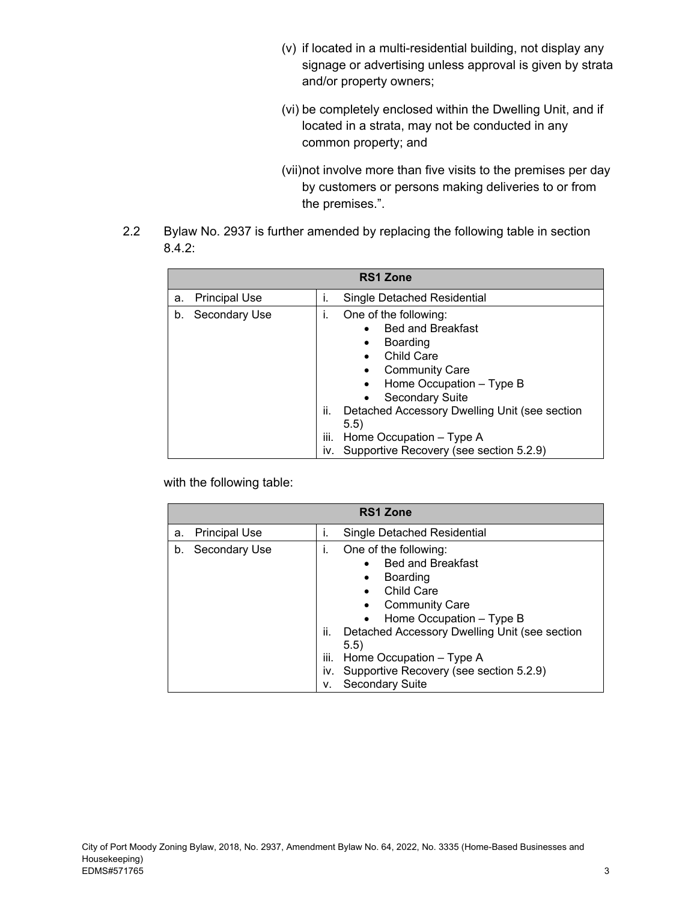- (v) if located in a multi-residential building, not display any signage or advertising unless approval is given by strata and/or property owners;
- (vi) be completely enclosed within the Dwelling Unit, and if located in a strata, may not be conducted in any common property; and
- (vii) not involve more than five visits to the premises per day by customers or persons making deliveries to or from the premises.".
- 2.2 Bylaw No. 2937 is further amended by replacing the following table in section 8.4.2:

| <b>RS1 Zone</b>            |                        |                                                                                                                                                                                                                                                                                                                |  |
|----------------------------|------------------------|----------------------------------------------------------------------------------------------------------------------------------------------------------------------------------------------------------------------------------------------------------------------------------------------------------------|--|
| <b>Principal Use</b><br>a. | Τ.                     | Single Detached Residential                                                                                                                                                                                                                                                                                    |  |
| Secondary Use<br>b.        | Τ.<br>ii.<br>Ш.<br>IV. | One of the following:<br><b>Bed and Breakfast</b><br>Boarding<br>$\bullet$<br><b>Child Care</b><br><b>Community Care</b><br>Home Occupation - Type B<br><b>Secondary Suite</b><br>Detached Accessory Dwelling Unit (see section<br>5.5)<br>Home Occupation - Type A<br>Supportive Recovery (see section 5.2.9) |  |

|    | <b>RS1 Zone</b>      |                                |                                                                                                                                                                                                                                                                                                                                          |  |
|----|----------------------|--------------------------------|------------------------------------------------------------------------------------------------------------------------------------------------------------------------------------------------------------------------------------------------------------------------------------------------------------------------------------------|--|
| a. | <b>Principal Use</b> | Ť.                             | Single Detached Residential                                                                                                                                                                                                                                                                                                              |  |
| b. | Secondary Use        | ı.<br>ii.<br>iii.<br>iv.<br>ν. | One of the following:<br><b>Bed and Breakfast</b><br>$\bullet$<br>Boarding<br>$\bullet$<br><b>Child Care</b><br>$\bullet$<br><b>Community Care</b><br>Home Occupation - Type B<br>Detached Accessory Dwelling Unit (see section<br>5.5)<br>Home Occupation - Type A<br>Supportive Recovery (see section 5.2.9)<br><b>Secondary Suite</b> |  |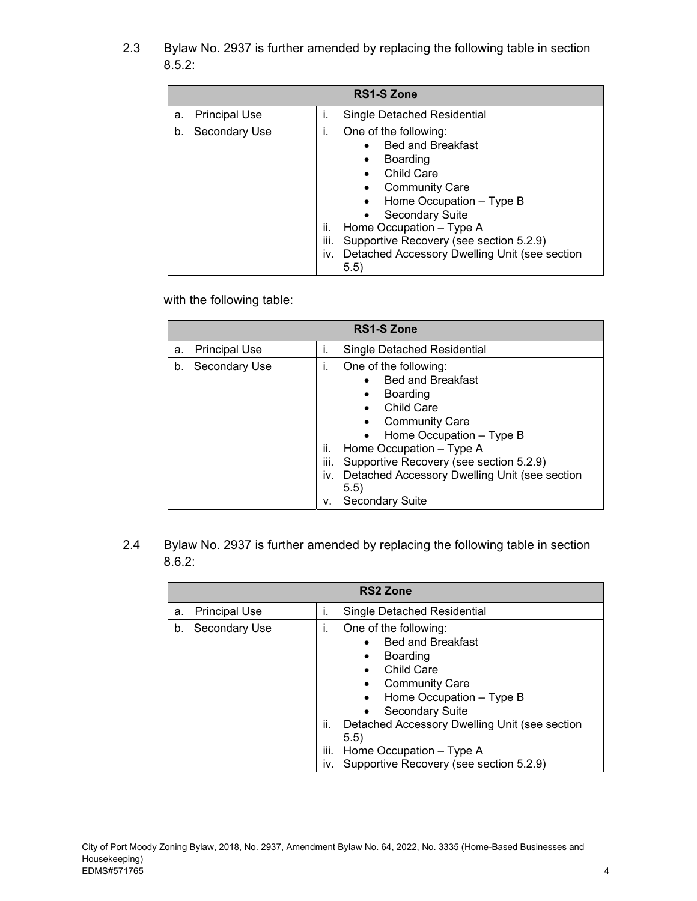2.3 Bylaw No. 2937 is further amended by replacing the following table in section 8.5.2:

|    | <b>RS1-S Zone</b>    |                          |                                                                                                                                                                                                                                                                                                  |  |
|----|----------------------|--------------------------|--------------------------------------------------------------------------------------------------------------------------------------------------------------------------------------------------------------------------------------------------------------------------------------------------|--|
| a. | <b>Principal Use</b> | Ť.                       | Single Detached Residential                                                                                                                                                                                                                                                                      |  |
| b. | Secondary Use        | ı.<br>ii.<br>iii.<br>iv. | One of the following:<br><b>Bed and Breakfast</b><br>Boarding<br>٠<br><b>Child Care</b><br><b>Community Care</b><br>Home Occupation - Type B<br>Secondary Suite<br>Home Occupation - Type A<br>Supportive Recovery (see section 5.2.9)<br>Detached Accessory Dwelling Unit (see section<br>(5.5) |  |

with the following table:

|    | <b>RS1-S Zone</b>    |                                |                                                                                                                                                                                                                                                                                                   |  |
|----|----------------------|--------------------------------|---------------------------------------------------------------------------------------------------------------------------------------------------------------------------------------------------------------------------------------------------------------------------------------------------|--|
| a. | <b>Principal Use</b> | Τ.                             | Single Detached Residential                                                                                                                                                                                                                                                                       |  |
| b. | Secondary Use        | 1.<br>ii.<br>iii.<br>İV.<br>۷. | One of the following:<br><b>Bed and Breakfast</b><br>Boarding<br>٠<br>Child Care<br><b>Community Care</b><br>• Home Occupation - Type B<br>Home Occupation - Type A<br>Supportive Recovery (see section 5.2.9)<br>Detached Accessory Dwelling Unit (see section<br>5.5)<br><b>Secondary Suite</b> |  |

2.4 Bylaw No. 2937 is further amended by replacing the following table in section 8.6.2:

|    | <b>RS2 Zone</b>      |                   |                                                                                                                                                                                                                                                                                                                                                                        |  |
|----|----------------------|-------------------|------------------------------------------------------------------------------------------------------------------------------------------------------------------------------------------------------------------------------------------------------------------------------------------------------------------------------------------------------------------------|--|
| a. | <b>Principal Use</b> | ı.                | Single Detached Residential                                                                                                                                                                                                                                                                                                                                            |  |
| b. | Secondary Use        | T.<br>ii.<br>iii. | One of the following:<br><b>Bed and Breakfast</b><br>$\bullet$<br>Boarding<br>$\bullet$<br><b>Child Care</b><br>$\bullet$<br><b>Community Care</b><br>Home Occupation - Type B<br>$\bullet$<br><b>Secondary Suite</b><br>$\bullet$<br>Detached Accessory Dwelling Unit (see section<br>5.5)<br>Home Occupation - Type A<br>iv. Supportive Recovery (see section 5.2.9) |  |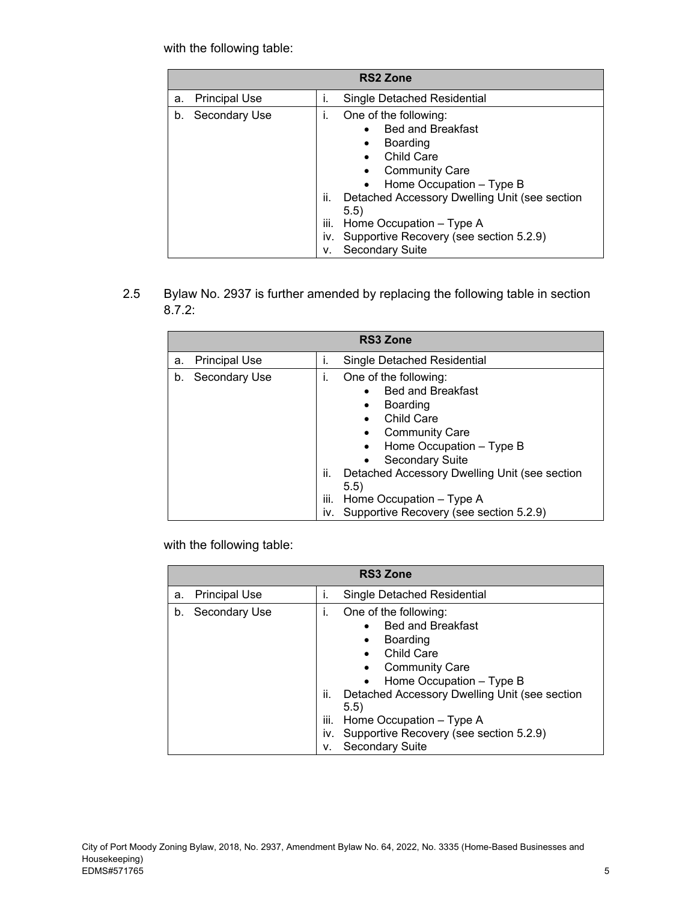|    | <b>RS2 Zone</b>      |                                |                                                                                                                                                                                                                                                                                                               |  |
|----|----------------------|--------------------------------|---------------------------------------------------------------------------------------------------------------------------------------------------------------------------------------------------------------------------------------------------------------------------------------------------------------|--|
| a. | <b>Principal Use</b> | Τ.                             | Single Detached Residential                                                                                                                                                                                                                                                                                   |  |
| b. | Secondary Use        | Τ.<br>ii.<br>iii.<br>İV.<br>۷. | One of the following:<br><b>Bed and Breakfast</b><br><b>Boarding</b><br>٠<br><b>Child Care</b><br><b>Community Care</b><br>Home Occupation - Type B<br>Detached Accessory Dwelling Unit (see section<br>5.5)<br>Home Occupation - Type A<br>Supportive Recovery (see section 5.2.9)<br><b>Secondary Suite</b> |  |

2.5 Bylaw No. 2937 is further amended by replacing the following table in section 8.7.2:

|    | <b>RS3 Zone</b>      |                          |                                                                                                                                                                                                                                                                                                        |  |
|----|----------------------|--------------------------|--------------------------------------------------------------------------------------------------------------------------------------------------------------------------------------------------------------------------------------------------------------------------------------------------------|--|
| a. | <b>Principal Use</b> | İ.                       | Single Detached Residential                                                                                                                                                                                                                                                                            |  |
| b. | Secondary Use        | i.<br>ii.<br>iii.<br>iv. | One of the following:<br><b>Bed and Breakfast</b><br>Boarding<br>٠<br><b>Child Care</b><br><b>Community Care</b><br>Home Occupation - Type B<br><b>Secondary Suite</b><br>Detached Accessory Dwelling Unit (see section<br>5.5)<br>Home Occupation - Type A<br>Supportive Recovery (see section 5.2.9) |  |

with the following table:

|    | <b>RS3 Zone</b>      |                       |                                                                                                                                                                                                                                                                                                                                 |  |
|----|----------------------|-----------------------|---------------------------------------------------------------------------------------------------------------------------------------------------------------------------------------------------------------------------------------------------------------------------------------------------------------------------------|--|
| a. | <b>Principal Use</b> | ı.                    | Single Detached Residential                                                                                                                                                                                                                                                                                                     |  |
| b. | Secondary Use        | Τ.<br>ii.<br>Ш.<br>ν. | One of the following:<br><b>Bed and Breakfast</b><br>$\bullet$<br>Boarding<br>$\bullet$<br><b>Child Care</b><br><b>Community Care</b><br>Home Occupation – Type B<br>Detached Accessory Dwelling Unit (see section<br>5.5)<br>Home Occupation - Type A<br>iv. Supportive Recovery (see section 5.2.9)<br><b>Secondary Suite</b> |  |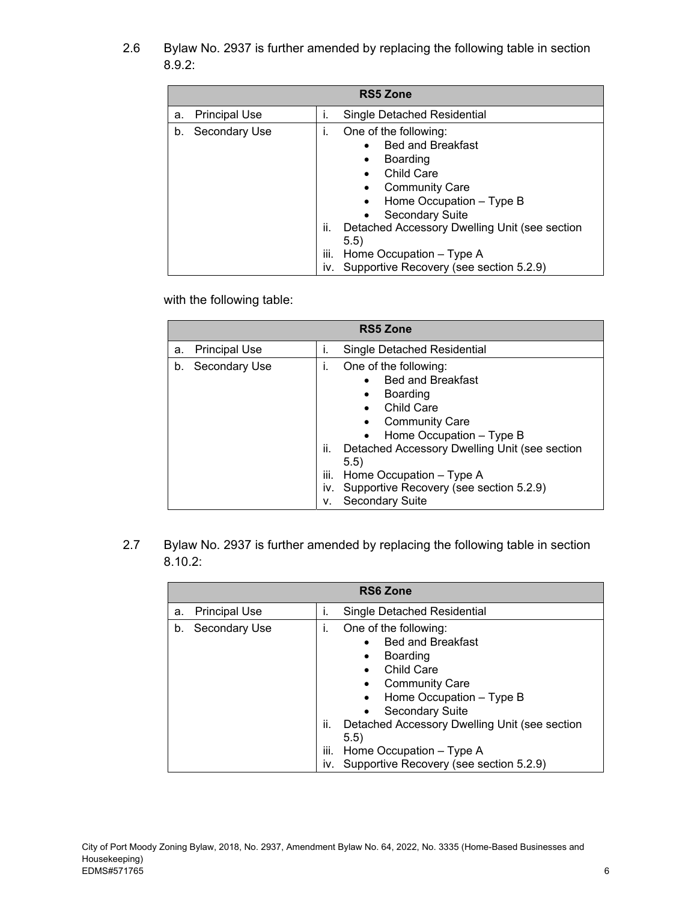2.6 Bylaw No. 2937 is further amended by replacing the following table in section 8.9.2:

|    | <b>RS5 Zone</b>      |                        |                                                                                                                                                                                                                                                                                                                              |  |
|----|----------------------|------------------------|------------------------------------------------------------------------------------------------------------------------------------------------------------------------------------------------------------------------------------------------------------------------------------------------------------------------------|--|
| a. | <b>Principal Use</b> | Τ.                     | Single Detached Residential                                                                                                                                                                                                                                                                                                  |  |
| b. | Secondary Use        | ı.<br>ii.<br>Ш.<br>İV. | One of the following:<br><b>Bed and Breakfast</b><br>$\bullet$<br>Boarding<br>$\bullet$<br><b>Child Care</b><br><b>Community Care</b><br>Home Occupation - Type B<br><b>Secondary Suite</b><br>Detached Accessory Dwelling Unit (see section<br>(5.5)<br>Home Occupation - Type A<br>Supportive Recovery (see section 5.2.9) |  |

with the following table:

|    | <b>RS5 Zone</b>      |                                |                                                                                                                                                                                                                                                                                                          |  |
|----|----------------------|--------------------------------|----------------------------------------------------------------------------------------------------------------------------------------------------------------------------------------------------------------------------------------------------------------------------------------------------------|--|
| a. | <b>Principal Use</b> | Ť.                             | Single Detached Residential                                                                                                                                                                                                                                                                              |  |
| b. | Secondary Use        | L.<br>ii.<br>iii.<br>İV.<br>ν. | One of the following:<br><b>Bed and Breakfast</b><br>Boarding<br>$\bullet$<br>Child Care<br><b>Community Care</b><br>Home Occupation - Type B<br>Detached Accessory Dwelling Unit (see section<br>(5.5)<br>Home Occupation - Type A<br>Supportive Recovery (see section 5.2.9)<br><b>Secondary Suite</b> |  |

2.7 Bylaw No. 2937 is further amended by replacing the following table in section 8.10.2:

|    | <b>RS6 Zone</b>      |                   |                                                                                                                                                                                                                                                                                                                                 |  |
|----|----------------------|-------------------|---------------------------------------------------------------------------------------------------------------------------------------------------------------------------------------------------------------------------------------------------------------------------------------------------------------------------------|--|
| a. | <b>Principal Use</b> | i.                | Single Detached Residential                                                                                                                                                                                                                                                                                                     |  |
| b. | Secondary Use        | I.<br>ii.<br>iii. | One of the following:<br><b>Bed and Breakfast</b><br>Boarding<br>$\bullet$<br><b>Child Care</b><br>$\bullet$<br><b>Community Care</b><br>Home Occupation - Type B<br><b>Secondary Suite</b><br>Detached Accessory Dwelling Unit (see section<br>5.5)<br>Home Occupation - Type A<br>iv. Supportive Recovery (see section 5.2.9) |  |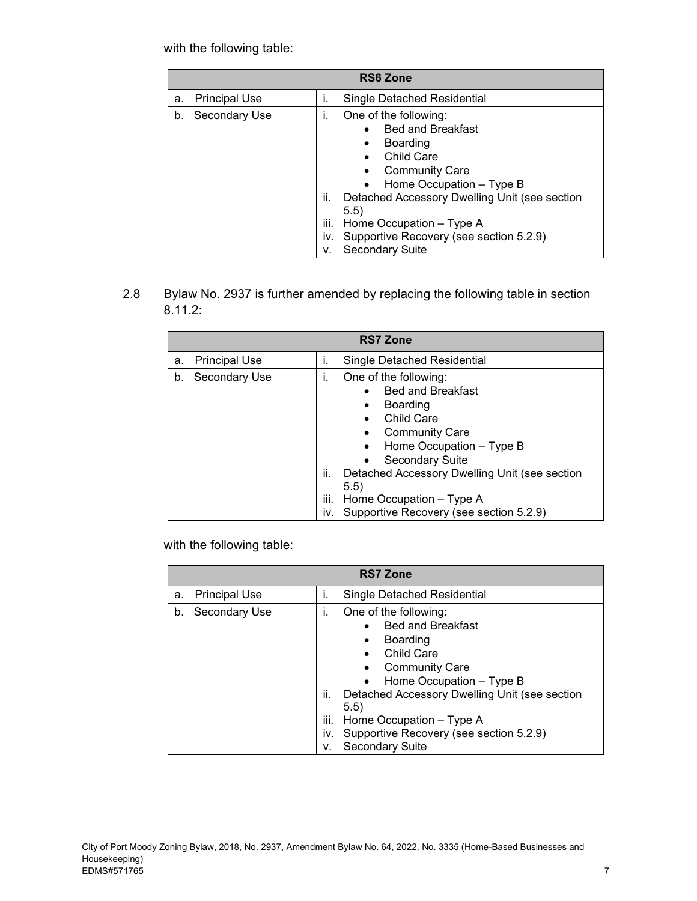|    | <b>RS6 Zone</b>      |                                |                                                                                                                                                                                                                                                                                                               |  |
|----|----------------------|--------------------------------|---------------------------------------------------------------------------------------------------------------------------------------------------------------------------------------------------------------------------------------------------------------------------------------------------------------|--|
| a. | <b>Principal Use</b> | Τ.                             | Single Detached Residential                                                                                                                                                                                                                                                                                   |  |
| b. | Secondary Use        | Τ.<br>ii.<br>iii.<br>İV.<br>۷. | One of the following:<br><b>Bed and Breakfast</b><br><b>Boarding</b><br>٠<br><b>Child Care</b><br><b>Community Care</b><br>Home Occupation - Type B<br>Detached Accessory Dwelling Unit (see section<br>5.5)<br>Home Occupation - Type A<br>Supportive Recovery (see section 5.2.9)<br><b>Secondary Suite</b> |  |

2.8 Bylaw No. 2937 is further amended by replacing the following table in section 8.11.2:

| <b>RS7 Zone</b> |                      |                        |                                                                                                                                                                                                                                                                                                              |
|-----------------|----------------------|------------------------|--------------------------------------------------------------------------------------------------------------------------------------------------------------------------------------------------------------------------------------------------------------------------------------------------------------|
| a.              | <b>Principal Use</b> | İ.                     | <b>Single Detached Residential</b>                                                                                                                                                                                                                                                                           |
| b.              | Secondary Use        | İ.<br>ii.<br>Ш.<br>İV. | One of the following:<br><b>Bed and Breakfast</b><br>Boarding<br>٠<br>Child Care<br><b>Community Care</b><br>Home Occupation - Type B<br>$\bullet$<br><b>Secondary Suite</b><br>Detached Accessory Dwelling Unit (see section<br>5.5)<br>Home Occupation - Type A<br>Supportive Recovery (see section 5.2.9) |

with the following table:

| <b>RS7 Zone</b> |                      |                       |                                                                                                                                                                                                                                                                                                                                 |  |
|-----------------|----------------------|-----------------------|---------------------------------------------------------------------------------------------------------------------------------------------------------------------------------------------------------------------------------------------------------------------------------------------------------------------------------|--|
| a.              | <b>Principal Use</b> | ı.                    | Single Detached Residential                                                                                                                                                                                                                                                                                                     |  |
| b.              | Secondary Use        | Τ.<br>ii.<br>Ш.<br>ν. | One of the following:<br><b>Bed and Breakfast</b><br>$\bullet$<br>Boarding<br>$\bullet$<br><b>Child Care</b><br><b>Community Care</b><br>Home Occupation – Type B<br>Detached Accessory Dwelling Unit (see section<br>5.5)<br>Home Occupation - Type A<br>iv. Supportive Recovery (see section 5.2.9)<br><b>Secondary Suite</b> |  |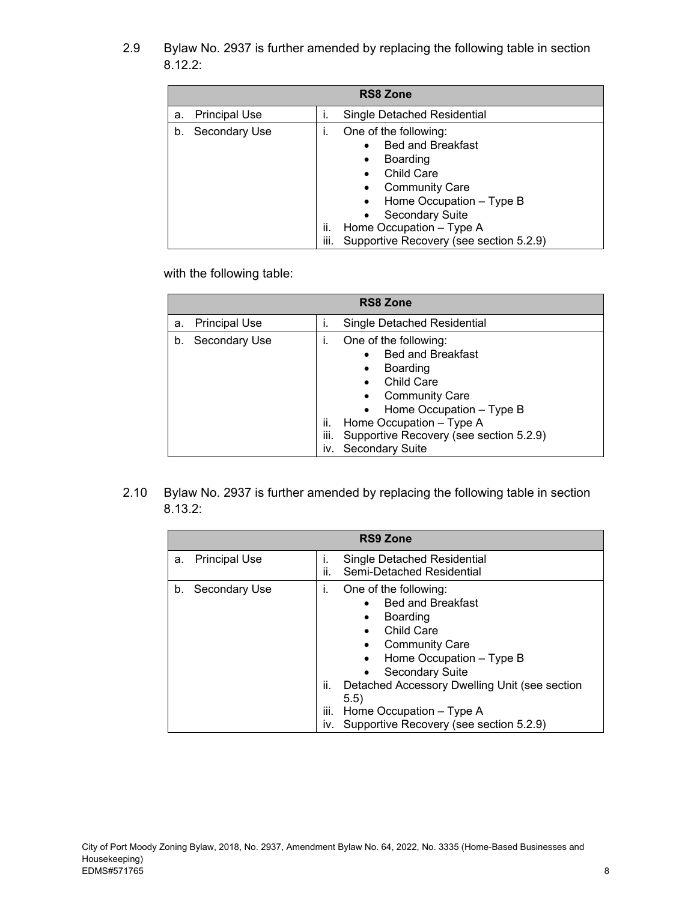2.9 Bylaw No. 2937 is further amended by replacing the following table in section 8.12.2:

| <b>RS8 Zone</b>            |                                                                                                                                                                                                                                                                                          |  |  |  |
|----------------------------|------------------------------------------------------------------------------------------------------------------------------------------------------------------------------------------------------------------------------------------------------------------------------------------|--|--|--|
| <b>Principal Use</b><br>a. | Single Detached Residential<br>۱.                                                                                                                                                                                                                                                        |  |  |  |
| Secondary Use<br>b.        | One of the following:<br><b>Bed and Breakfast</b><br><b>Boarding</b><br>$\bullet$<br><b>Child Care</b><br>$\bullet$<br><b>Community Care</b><br>Home Occupation - Type B<br><b>Secondary Suite</b><br>Home Occupation - Type A<br>ii.<br>Supportive Recovery (see section 5.2.9)<br>iii. |  |  |  |

with the following table:

| <b>RS8 Zone</b> |                      |                        |                                                                                                                                                                                                                                                         |  |
|-----------------|----------------------|------------------------|---------------------------------------------------------------------------------------------------------------------------------------------------------------------------------------------------------------------------------------------------------|--|
| a.              | <b>Principal Use</b> | İ.                     | Single Detached Residential                                                                                                                                                                                                                             |  |
| b.              | Secondary Use        | I.<br>ii.<br>Ш.<br>IV. | One of the following:<br><b>Bed and Breakfast</b><br><b>Boarding</b><br>٠<br>Child Care<br><b>Community Care</b><br>$\bullet$ Home Occupation - Type B<br>Home Occupation - Type A<br>Supportive Recovery (see section 5.2.9)<br><b>Secondary Suite</b> |  |

2.10 Bylaw No. 2937 is further amended by replacing the following table in section 8.13.2:

| <b>RS9 Zone</b>            |                                                                                                                                                                                                                                                                                                                                                   |  |
|----------------------------|---------------------------------------------------------------------------------------------------------------------------------------------------------------------------------------------------------------------------------------------------------------------------------------------------------------------------------------------------|--|
| <b>Principal Use</b><br>a. | Single Detached Residential<br>Τ.<br>ii.<br>Semi-Detached Residential                                                                                                                                                                                                                                                                             |  |
| Secondary Use<br>b.        | One of the following:<br>Τ.<br><b>Bed and Breakfast</b><br><b>Boarding</b><br>$\bullet$<br><b>Child Care</b><br><b>Community Care</b><br>Home Occupation - Type B<br><b>Secondary Suite</b><br>Detached Accessory Dwelling Unit (see section<br>ii.<br>5.5)<br>iii.<br>Home Occupation - Type A<br>Supportive Recovery (see section 5.2.9)<br>İV. |  |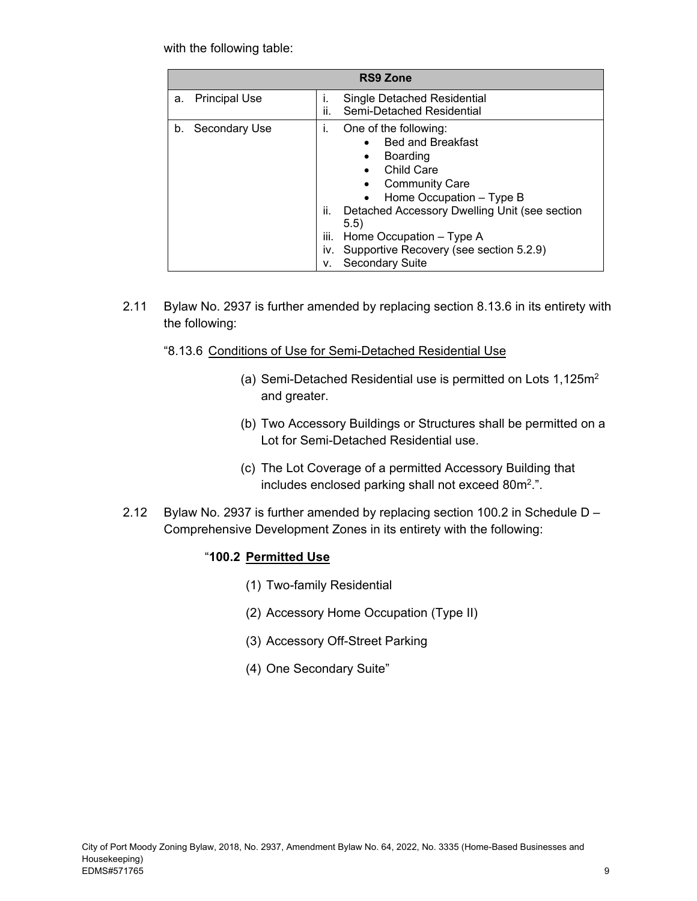| <b>RS9 Zone</b>            |                                                                                                                                                                                                                                                                                                                                   |  |  |  |
|----------------------------|-----------------------------------------------------------------------------------------------------------------------------------------------------------------------------------------------------------------------------------------------------------------------------------------------------------------------------------|--|--|--|
| <b>Principal Use</b><br>a. | Single Detached Residential<br>Τ.<br>ii.<br>Semi-Detached Residential                                                                                                                                                                                                                                                             |  |  |  |
| Secondary Use<br>b.        | One of the following:<br>I.<br><b>Bed and Breakfast</b><br>Boarding<br>٠<br><b>Child Care</b><br><b>Community Care</b><br>Home Occupation - Type B<br>ii.<br>Detached Accessory Dwelling Unit (see section<br>5.5)<br>iii.<br>Home Occupation - Type A<br>Supportive Recovery (see section 5.2.9)<br>İV.<br>Secondary Suite<br>۷. |  |  |  |

2.11 Bylaw No. 2937 is further amended by replacing section 8.13.6 in its entirety with the following:

#### "8.13.6 Conditions of Use for Semi-Detached Residential Use

- (a) Semi-Detached Residential use is permitted on Lots 1,125m2 and greater.
- (b) Two Accessory Buildings or Structures shall be permitted on a Lot for Semi-Detached Residential use.
- (c) The Lot Coverage of a permitted Accessory Building that includes enclosed parking shall not exceed 80m<sup>2</sup>.".
- 2.12 Bylaw No. 2937 is further amended by replacing section 100.2 in Schedule D Comprehensive Development Zones in its entirety with the following:

#### "**100.2 Permitted Use**

- (1) Two-family Residential
- (2) Accessory Home Occupation (Type II)
- (3) Accessory Off-Street Parking
- (4) One Secondary Suite"